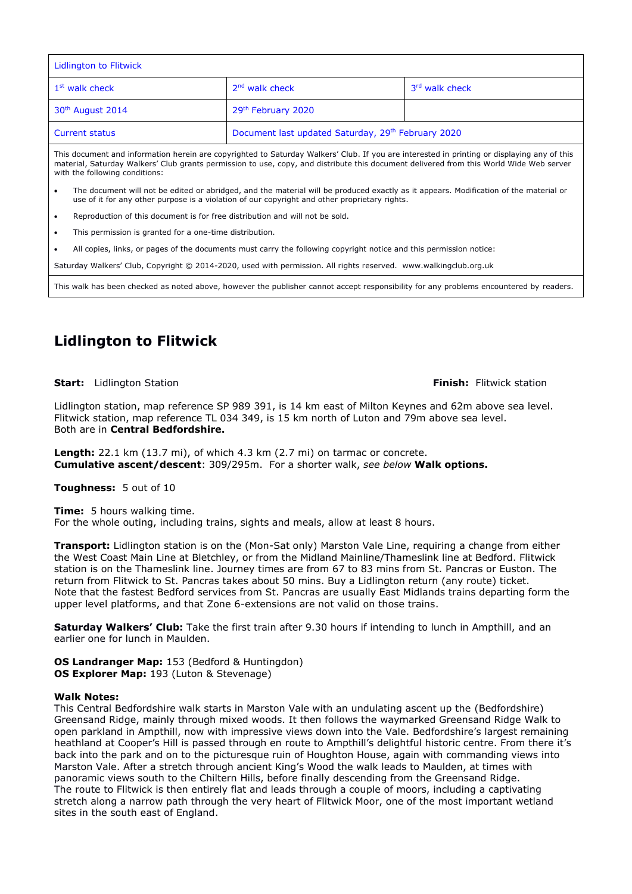| Lidlington to Flitwick       |                                                    |                |
|------------------------------|----------------------------------------------------|----------------|
| 1 <sup>st</sup> walk check   | $2nd$ walk check                                   | 3rd walk check |
| 30 <sup>th</sup> August 2014 | 29th February 2020                                 |                |
| <b>Current status</b>        | Document last updated Saturday, 29th February 2020 |                |

This document and information herein are copyrighted to Saturday Walkers' Club. If you are interested in printing or displaying any of this material, Saturday Walkers' Club grants permission to use, copy, and distribute this document delivered from this World Wide Web server with the following conditions:

- The document will not be edited or abridged, and the material will be produced exactly as it appears. Modification of the material or use of it for any other purpose is a violation of our copyright and other proprietary rights.
- Reproduction of this document is for free distribution and will not be sold.
- This permission is granted for a one-time distribution.
- All copies, links, or pages of the documents must carry the following copyright notice and this permission notice:

Saturday Walkers' Club, Copyright © 2014-2020, used with permission. All rights reserved. www.walkingclub.org.uk

This walk has been checked as noted above, however the publisher cannot accept responsibility for any problems encountered by readers.

# **Lidlington to Flitwick**

**Start:** Lidlington Station **Finish:** Flitwick station

Lidlington station, map reference SP 989 391, is 14 km east of Milton Keynes and 62m above sea level. Flitwick station, map reference TL 034 349, is 15 km north of Luton and 79m above sea level. Both are in **Central Bedfordshire.**

**Length:** 22.1 km (13.7 mi), of which 4.3 km (2.7 mi) on tarmac or concrete. **Cumulative ascent/descent**: 309/295m. For a shorter walk, *see below* **Walk options.**

**Toughness:** 5 out of 10

**Time:** 5 hours walking time. For the whole outing, including trains, sights and meals, allow at least 8 hours.

**Transport:** Lidlington station is on the (Mon-Sat only) Marston Vale Line, requiring a change from either the West Coast Main Line at Bletchley, or from the Midland Mainline/Thameslink line at Bedford. Flitwick station is on the Thameslink line. Journey times are from 67 to 83 mins from St. Pancras or Euston. The return from Flitwick to St. Pancras takes about 50 mins. Buy a Lidlington return (any route) ticket. Note that the fastest Bedford services from St. Pancras are usually East Midlands trains departing form the upper level platforms, and that Zone 6-extensions are not valid on those trains.

**Saturday Walkers' Club:** Take the first train after 9.30 hours if intending to lunch in Ampthill, and an earlier one for lunch in Maulden.

**OS Landranger Map:** 153 (Bedford & Huntingdon) **OS Explorer Map:** 193 (Luton & Stevenage)

#### **Walk Notes:**

This Central Bedfordshire walk starts in Marston Vale with an undulating ascent up the (Bedfordshire) Greensand Ridge, mainly through mixed woods. It then follows the waymarked Greensand Ridge Walk to open parkland in Ampthill, now with impressive views down into the Vale. Bedfordshire's largest remaining heathland at Cooper's Hill is passed through en route to Ampthill's delightful historic centre. From there it's back into the park and on to the picturesque ruin of Houghton House, again with commanding views into Marston Vale. After a stretch through ancient King's Wood the walk leads to Maulden, at times with panoramic views south to the Chiltern Hills, before finally descending from the Greensand Ridge. The route to Flitwick is then entirely flat and leads through a couple of moors, including a captivating stretch along a narrow path through the very heart of Flitwick Moor, one of the most important wetland sites in the south east of England.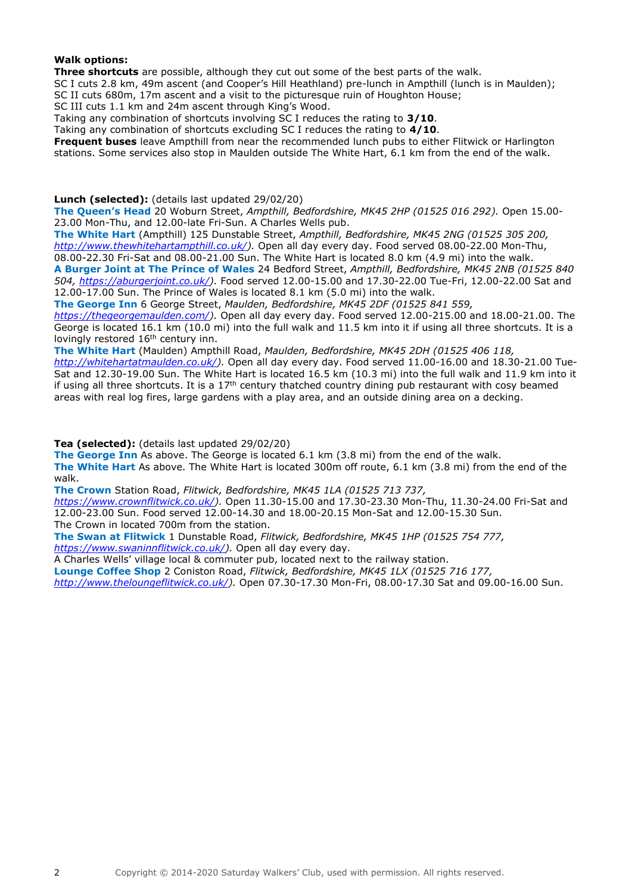#### **Walk options:**

**Three shortcuts** are possible, although they cut out some of the best parts of the walk.

SC I cuts 2.8 km, 49m ascent (and Cooper's Hill Heathland) pre-lunch in Ampthill (lunch is in Maulden); SC II cuts 680m, 17m ascent and a visit to the picturesque ruin of Houghton House;

SC III cuts 1.1 km and 24m ascent through King's Wood.

Taking any combination of shortcuts involving SC I reduces the rating to **3/10**.

Taking any combination of shortcuts excluding SC I reduces the rating to **4/10**.

**Frequent buses** leave Ampthill from near the recommended lunch pubs to either Flitwick or Harlington stations. Some services also stop in Maulden outside The White Hart, 6.1 km from the end of the walk.

**Lunch (selected):** (details last updated 29/02/20)

**The Queen's Head** 20 Woburn Street, *Ampthill, Bedfordshire, MK45 2HP (01525 016 292).* Open 15.00- 23.00 Mon-Thu, and 12.00-late Fri-Sun. A Charles Wells pub.

**The White Hart** (Ampthill) 125 Dunstable Street, *Ampthill, Bedfordshire, MK45 2NG (01525 305 200, [http://www.thewhitehartampthill.co.uk/\)](http://www.thewhitehartampthill.co.uk/).* Open all day every day. Food served 08.00-22.00 Mon-Thu,

08.00-22.30 Fri-Sat and 08.00-21.00 Sun. The White Hart is located 8.0 km (4.9 mi) into the walk.

**A Burger Joint at The Prince of Wales** 24 Bedford Street, *Ampthill, Bedfordshire, MK45 2NB (01525 840 504, [https://aburgerjoint.co.uk/\)](https://aburgerjoint.co.uk/).* Food served 12.00-15.00 and 17.30-22.00 Tue-Fri, 12.00-22.00 Sat and 12.00-17.00 Sun. The Prince of Wales is located 8.1 km (5.0 mi) into the walk.

**The George Inn** 6 George Street, *Maulden, Bedfordshire, MK45 2DF (01525 841 559,* 

*[https://thegeorgemaulden.com/\)](https://thegeorgemaulden.com/).* Open all day every day. Food served 12.00-215.00 and 18.00-21.00. The George is located 16.1 km (10.0 mi) into the full walk and 11.5 km into it if using all three shortcuts. It is a lovingly restored 16<sup>th</sup> century inn.

**The White Hart** (Maulden) Ampthill Road, *Maulden, Bedfordshire, MK45 2DH (01525 406 118,* 

*[http://whitehartatmaulden.co.uk/\)](http://whitehartatmaulden.co.uk/).* Open all day every day. Food served 11.00-16.00 and 18.30-21.00 Tue-Sat and 12.30-19.00 Sun. The White Hart is located 16.5 km (10.3 mi) into the full walk and 11.9 km into it if using all three shortcuts. It is a 17<sup>th</sup> century thatched country dining pub restaurant with cosy beamed areas with real log fires, large gardens with a play area, and an outside dining area on a decking.

**Tea (selected):** (details last updated 29/02/20)

**The George Inn** As above. The George is located 6.1 km (3.8 mi) from the end of the walk.

**The White Hart** As above. The White Hart is located 300m off route, 6.1 km (3.8 mi) from the end of the walk.

**The Crown** Station Road, *Flitwick, Bedfordshire, MK45 1LA (01525 713 737,* 

*[https://www.crownflitwick.co.uk/\)](https://www.crownflitwick.co.uk/).* Open 11.30-15.00 and 17.30-23.30 Mon-Thu, 11.30-24.00 Fri-Sat and 12.00-23.00 Sun. Food served 12.00-14.30 and 18.00-20.15 Mon-Sat and 12.00-15.30 Sun.

The Crown in located 700m from the station.

**The Swan at Flitwick** 1 Dunstable Road, *Flitwick, Bedfordshire, MK45 1HP (01525 754 777, [https://www.swaninnflitwick.co.uk/\)](https://www.swaninnflitwick.co.uk/).* Open all day every day.

A Charles Wells' village local & commuter pub, located next to the railway station.

**Lounge Coffee Shop** 2 Coniston Road, *Flitwick, Bedfordshire, MK45 1LX (01525 716 177,* 

*[http://www.theloungeflitwick.co.uk/\)](http://www.theloungeflitwick.co.uk/).* Open 07.30-17.30 Mon-Fri, 08.00-17.30 Sat and 09.00-16.00 Sun.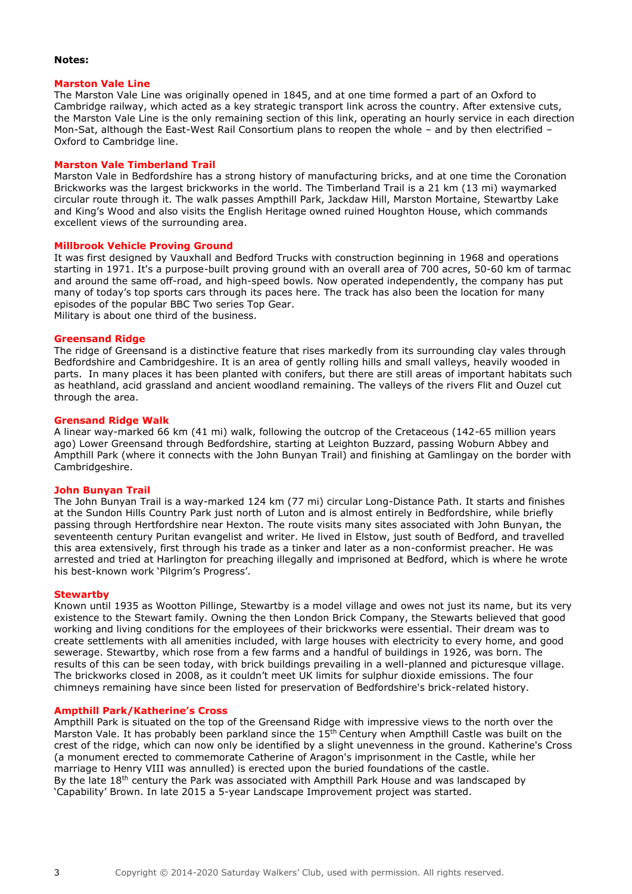#### **Notes:**

#### **Marston Vale Line**

The Marston Vale Line was originally opened in 1845, and at one time formed a part of an Oxford to Cambridge railway, which acted as a key strategic transport link across the country. After extensive cuts, the Marston Vale Line is the only remaining section of this link, operating an hourly service in each direction Mon-Sat, although the [East-West Rail Consortium](http://eastwestrail.org.uk/) plans to reopen the whole – and by then electrified – Oxford to Cambridge line.

#### **Marston Vale Timberland Trail**

Marston Vale in Bedfordshire has a strong history of manufacturing bricks, and at one time the Coronation Brickworks was the largest brickworks in the world. The Timberland Trail is a 21 km (13 mi) waymarked circular route through it. The walk passes Ampthill Park, Jackdaw Hill, Marston Mortaine, Stewartby Lake and King's Wood and also visits the English Heritage owned ruined Houghton House, which commands excellent views of the surrounding area.

#### **Millbrook Vehicle Proving Ground**

It was first designed by Vauxhall and Bedford Trucks with construction beginning in 1968 and operations starting in 1971. It's a purpose-built proving ground with an overall area of 700 acres, 50-60 km of tarmac and around the same off-road, and high-speed bowls. Now operated independently, the company has put many of today's top sports cars through its paces here. The track has also been the location for many episodes of the popular BBC Two series Top Gear. Military is about one third of the business.

#### **Greensand Ridge**

The ridge of Greensand is a distinctive feature that rises markedly from its surrounding clay vales through Bedfordshire and Cambridgeshire. It is an area of gently rolling hills and small valleys, heavily wooded in parts. In many places it has been planted with conifers, but there are still areas of important habitats such as heathland, acid grassland and ancient woodland remaining. The valleys of the rivers Flit and Ouzel cut through the area.

#### **Grensand Ridge Walk**

A linear way-marked 66 km (41 mi) walk, following the outcrop of the Cretaceous (142-65 million years ago) Lower Greensand through Bedfordshire, starting at Leighton Buzzard, passing Woburn Abbey and Ampthill Park (where it connects with the John Bunyan Trail) and finishing at Gamlingay on the border with Cambridgeshire.

#### **John Bunyan Trail**

The John Bunyan Trail is a way-marked 124 km (77 mi) circular Long-Distance Path. It starts and finishes at the Sundon Hills Country Park just north of Luton and is almost entirely in Bedfordshire, while briefly passing through Hertfordshire near Hexton. The route visits many sites associated with John Bunyan, the seventeenth century Puritan evangelist and writer. He lived in Elstow, just south of Bedford, and travelled this area extensively, first through his trade as a tinker and later as a non-conformist preacher. He was arrested and tried at Harlington for preaching illegally and imprisoned at Bedford, which is where he wrote his best-known work 'Pilgrim's Progress'.

#### **Stewartby**

Known until 1935 as Wootton Pillinge, Stewartby is a model village and owes not just its name, but its very existence to the Stewart family. Owning the then London Brick Company, the Stewarts believed that good working and living conditions for the employees of their brickworks were essential. Their dream was to create settlements with all amenities included, with large houses with electricity to every home, and good sewerage. Stewartby, which rose from a few farms and a handful of buildings in 1926, was born. The results of this can be seen today, with brick buildings prevailing in a well-planned and picturesque village. The brickworks closed in 2008, as it couldn't meet UK limits for sulphur dioxide emissions. The four chimneys remaining have since been listed for preservation of Bedfordshire's brick-related history.

#### **Ampthill Park/Katherine's Cross**

Ampthill Park is situated on the top of the Greensand Ridge with impressive views to the north over the Marston Vale. It has probably been parkland since the 15<sup>th</sup> Century when Ampthill Castle was built on the crest of the ridge, which can now only be identified by a slight unevenness in the ground. Katherine's Cross (a monument erected to commemorate Catherine of Aragon's imprisonment in the Castle, while her marriage to Henry VIII was annulled) is erected upon the buried foundations of the castle. By the late 18<sup>th</sup> century the Park was associated with Ampthill Park House and was landscaped by 'Capability' Brown. In late 2015 a 5-year Landscape Improvement project was started.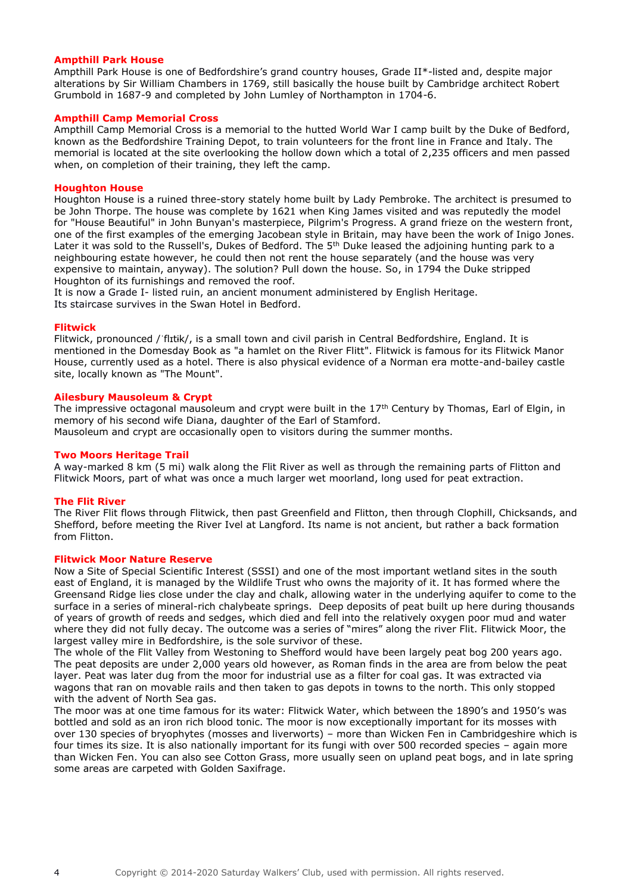#### **Ampthill Park House**

Ampthill Park House is one of Bedfordshire's grand country houses, Grade II\*-listed and, despite major alterations by Sir William Chambers in 1769, still basically the house built by Cambridge architect Robert Grumbold in 1687-9 and completed by John Lumley of Northampton in 1704-6.

#### **Ampthill Camp Memorial Cross**

Ampthill Camp Memorial Cross is a memorial to the hutted World War I camp built by the Duke of Bedford, known as the Bedfordshire Training Depot, to train volunteers for the front line in France and Italy. The memorial is located at the site overlooking the hollow down which a total of 2,235 officers and men passed when, on completion of their training, they left the camp.

#### **Houghton House**

Houghton House is a ruined three-story stately home built by Lady Pembroke. The architect is presumed to be John Thorpe. The house was complete by 1621 when King James visited and was reputedly the model for "House Beautiful" in John Bunyan's masterpiece, Pilgrim's Progress. A grand frieze on the western front, one of the first examples of the emerging Jacobean style in Britain, may have been the work of Inigo Jones. Later it was sold to the Russell's, Dukes of Bedford. The 5<sup>th</sup> Duke leased the adjoining hunting park to a neighbouring estate however, he could then not rent the house separately (and the house was very expensive to maintain, anyway). The solution? Pull down the house. So, in 1794 the Duke stripped Houghton of its furnishings and removed the roof.

It is now a Grade I- listed ruin, an ancient monument administered by English Heritage. Its staircase survives in the Swan Hotel in Bedford.

#### **Flitwick**

Flitwick, pronounced /ˈflɪtɨk/, is a small town and civil parish in Central Bedfordshire, England. It is mentioned in the Domesday Book as "a hamlet on the River Flitt". Flitwick is famous for its Flitwick Manor House, currently used as a hotel. There is also physical evidence of a Norman era motte-and-bailey castle site, locally known as "The Mount".

#### **Ailesbury Mausoleum & Crypt**

The impressive octagonal mausoleum and crypt were built in the 17<sup>th</sup> Century by Thomas, Earl of Elgin, in memory of his second wife Diana, daughter of the Earl of Stamford. Mausoleum and crypt are occasionally open to visitors during the summer months.

#### **Two Moors Heritage Trail**

A way-marked 8 km (5 mi) walk along the Flit River as well as through the remaining parts of Flitton and Flitwick Moors, part of what was once a much larger wet moorland, long used for peat extraction.

#### **The Flit River**

The River Flit flows through Flitwick, then past Greenfield and Flitton, then through Clophill, Chicksands, and Shefford, before meeting the River Ivel at Langford. Its name is not ancient, but rather a back formation from Flitton.

#### **Flitwick Moor Nature Reserve**

Now a Site of Special Scientific Interest (SSSI) and one of the most important wetland sites in the south east of England, it is managed by the Wildlife Trust who owns the majority of it. It has formed where the Greensand Ridge lies close under the clay and chalk, allowing water in the underlying aquifer to come to the surface in a series of mineral-rich chalybeate springs. Deep deposits of peat built up here during thousands of years of growth of reeds and sedges, which died and fell into the relatively oxygen poor mud and water where they did not fully decay. The outcome was a series of "mires" along the river Flit. Flitwick Moor, the largest valley mire in Bedfordshire, is the sole survivor of these.

The whole of the Flit Valley from Westoning to Shefford would have been largely peat bog 200 years ago. The peat deposits are under 2,000 years old however, as Roman finds in the area are from below the peat layer. Peat was later dug from the moor for industrial use as a filter for coal gas. It was extracted via wagons that ran on movable rails and then taken to gas depots in towns to the north. This only stopped with the advent of North Sea gas.

The moor was at one time famous for its water: Flitwick Water, which between the 1890's and 1950's was bottled and sold as an iron rich blood tonic. The moor is now exceptionally important for its mosses with over 130 species of bryophytes (mosses and liverworts) – more than Wicken Fen in Cambridgeshire which is four times its size. It is also nationally important for its fungi with over 500 recorded species – again more than Wicken Fen. You can also see Cotton Grass, more usually seen on upland peat bogs, and in late spring some areas are carpeted with Golden Saxifrage.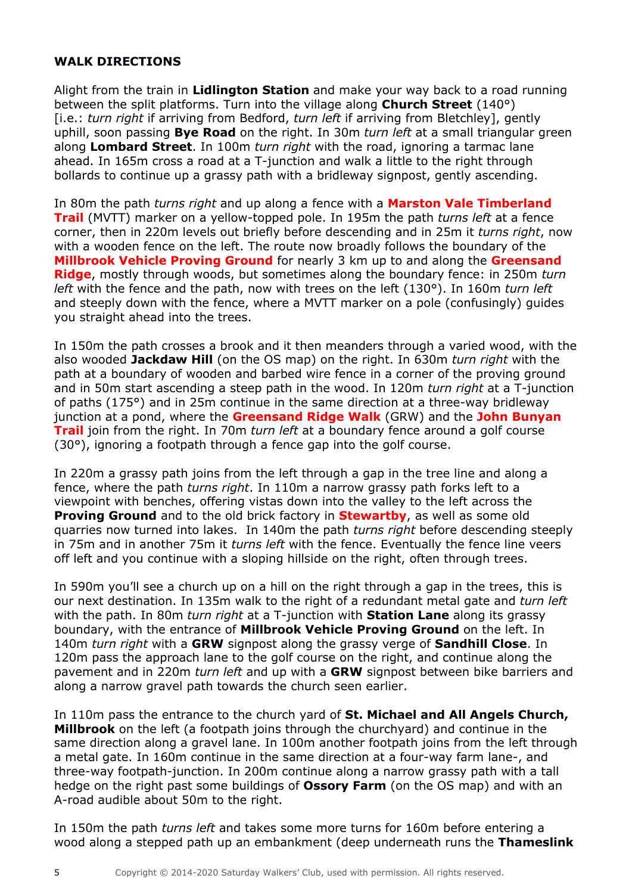# **WALK DIRECTIONS**

Alight from the train in **Lidlington Station** and make your way back to a road running between the split platforms. Turn into the village along **Church Street** (140°) [i.e.: *turn right* if arriving from Bedford, *turn left* if arriving from Bletchley], gently uphill, soon passing **Bye Road** on the right. In 30m *turn left* at a small triangular green along **Lombard Street**. In 100m *turn right* with the road, ignoring a tarmac lane ahead. In 165m cross a road at a T-junction and walk a little to the right through bollards to continue up a grassy path with a bridleway signpost, gently ascending.

In 80m the path *turns right* and up along a fence with a **Marston Vale Timberland Trail** (MVTT) marker on a yellow-topped pole. In 195m the path *turns left* at a fence corner, then in 220m levels out briefly before descending and in 25m it *turns right*, now with a wooden fence on the left. The route now broadly follows the boundary of the **Millbrook Vehicle Proving Ground** for nearly 3 km up to and along the **Greensand Ridge**, mostly through woods, but sometimes along the boundary fence: in 250m *turn left* with the fence and the path, now with trees on the left (130°). In 160m *turn left* and steeply down with the fence, where a MVTT marker on a pole (confusingly) guides you straight ahead into the trees.

In 150m the path crosses a brook and it then meanders through a varied wood, with the also wooded **Jackdaw Hill** (on the OS map) on the right. In 630m *turn right* with the path at a boundary of wooden and barbed wire fence in a corner of the proving ground and in 50m start ascending a steep path in the wood. In 120m *turn right* at a T-junction of paths (175°) and in 25m continue in the same direction at a three-way bridleway junction at a pond, where the **Greensand Ridge Walk** (GRW) and the **John Bunyan Trail** join from the right. In 70m *turn left* at a boundary fence around a golf course (30°), ignoring a footpath through a fence gap into the golf course.

In 220m a grassy path joins from the left through a gap in the tree line and along a fence, where the path *turns right*. In 110m a narrow grassy path forks left to a viewpoint with benches, offering vistas down into the valley to the left across the **Proving Ground** and to the old brick factory in **Stewartby**, as well as some old quarries now turned into lakes. In 140m the path *turns right* before descending steeply in 75m and in another 75m it *turns left* with the fence. Eventually the fence line veers off left and you continue with a sloping hillside on the right, often through trees.

In 590m you'll see a church up on a hill on the right through a gap in the trees, this is our next destination. In 135m walk to the right of a redundant metal gate and *turn left* with the path. In 80m *turn right* at a T-junction with **Station Lane** along its grassy boundary, with the entrance of **Millbrook Vehicle Proving Ground** on the left. In 140m *turn right* with a **GRW** signpost along the grassy verge of **Sandhill Close**. In 120m pass the approach lane to the golf course on the right, and continue along the pavement and in 220m *turn left* and up with a **GRW** signpost between bike barriers and along a narrow gravel path towards the church seen earlier.

In 110m pass the entrance to the church yard of **St. Michael and All Angels Church, Millbrook** on the left (a footpath joins through the churchyard) and continue in the same direction along a gravel lane. In 100m another footpath joins from the left through a metal gate. In 160m continue in the same direction at a four-way farm lane-, and three-way footpath-junction. In 200m continue along a narrow grassy path with a tall hedge on the right past some buildings of **Ossory Farm** (on the OS map) and with an A-road audible about 50m to the right.

In 150m the path *turns left* and takes some more turns for 160m before entering a wood along a stepped path up an embankment (deep underneath runs the **Thameslink**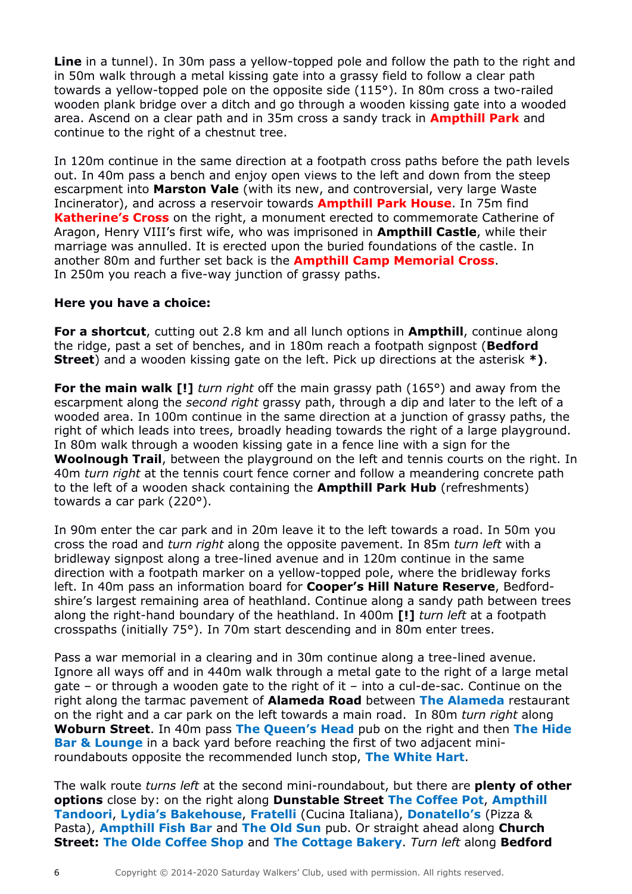**Line** in a tunnel). In 30m pass a yellow-topped pole and follow the path to the right and in 50m walk through a metal kissing gate into a grassy field to follow a clear path towards a yellow-topped pole on the opposite side (115°). In 80m cross a two-railed wooden plank bridge over a ditch and go through a wooden kissing gate into a wooded area. Ascend on a clear path and in 35m cross a sandy track in **Ampthill Park** and continue to the right of a chestnut tree.

In 120m continue in the same direction at a footpath cross paths before the path levels out. In 40m pass a bench and enjoy open views to the left and down from the steep escarpment into **Marston Vale** (with its new, and controversial, very large Waste Incinerator), and across a reservoir towards **Ampthill Park House**. In 75m find **Katherine's Cross** on the right, a monument erected to commemorate Catherine of Aragon, Henry VIII's first wife, who was imprisoned in **Ampthill Castle**, while their marriage was annulled. It is erected upon the buried foundations of the castle. In another 80m and further set back is the **Ampthill Camp Memorial Cross**. In 250m you reach a five-way junction of grassy paths.

## **Here you have a choice:**

**For a shortcut**, cutting out 2.8 km and all lunch options in **Ampthill**, continue along the ridge, past a set of benches, and in 180m reach a footpath signpost (**Bedford Street**) and a wooden kissing gate on the left. Pick up directions at the asterisk **\*)**.

**For the main walk [!]** *turn right* off the main grassy path (165°) and away from the escarpment along the *second right* grassy path, through a dip and later to the left of a wooded area. In 100m continue in the same direction at a junction of grassy paths, the right of which leads into trees, broadly heading towards the right of a large playground. In 80m walk through a wooden kissing gate in a fence line with a sign for the **Woolnough Trail**, between the playground on the left and tennis courts on the right. In 40m *turn right* at the tennis court fence corner and follow a meandering concrete path to the left of a wooden shack containing the **Ampthill Park Hub** (refreshments) towards a car park (220°).

In 90m enter the car park and in 20m leave it to the left towards a road. In 50m you cross the road and *turn right* along the opposite pavement. In 85m *turn left* with a bridleway signpost along a tree-lined avenue and in 120m continue in the same direction with a footpath marker on a yellow-topped pole, where the bridleway forks left. In 40m pass an information board for **Cooper's Hill Nature Reserve**, Bedfordshire's largest remaining area of heathland. Continue along a sandy path between trees along the right-hand boundary of the heathland. In 400m **[!]** *turn left* at a footpath crosspaths (initially 75°). In 70m start descending and in 80m enter trees.

Pass a war memorial in a clearing and in 30m continue along a tree-lined avenue. Ignore all ways off and in 440m walk through a metal gate to the right of a large metal gate – or through a wooden gate to the right of it – into a cul-de-sac. Continue on the right along the tarmac pavement of **Alameda Road** between **The Alameda** restaurant on the right and a car park on the left towards a main road. In 80m *turn right* along **Woburn Street**. In 40m pass **The Queen's Head** pub on the right and then **The Hide Bar & Lounge** in a back yard before reaching the first of two adjacent miniroundabouts opposite the recommended lunch stop, **The White Hart**.

The walk route *turns left* at the second mini-roundabout, but there are **plenty of other options** close by: on the right along **Dunstable Street The Coffee Pot**, **Ampthill Tandoori**, **Lydia's Bakehouse**, **Fratelli** (Cucina Italiana), **Donatello's** (Pizza & Pasta), **Ampthill Fish Bar** and **The Old Sun** pub. Or straight ahead along **Church Street: The Olde Coffee Shop** and **The Cottage Bakery**. *Turn left* along **Bedford**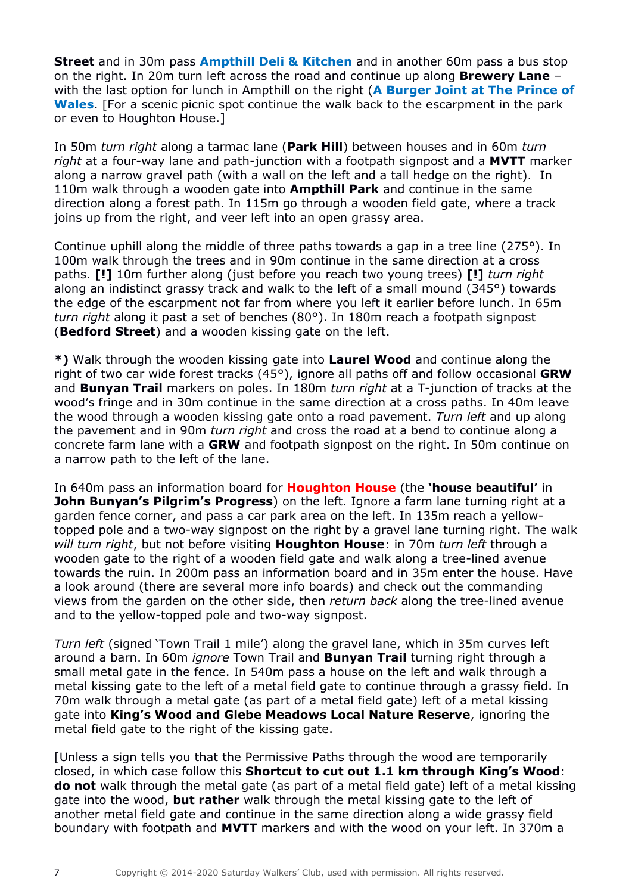**Street** and in 30m pass **Ampthill Deli & Kitchen** and in another 60m pass a bus stop on the right. In 20m turn left across the road and continue up along **Brewery Lane** – with the last option for lunch in Ampthill on the right (**A Burger Joint at The Prince of Wales**. [For a scenic picnic spot continue the walk back to the escarpment in the park or even to Houghton House.]

In 50m *turn right* along a tarmac lane (**Park Hill**) between houses and in 60m *turn right* at a four-way lane and path-junction with a footpath signpost and a **MVTT** marker along a narrow gravel path (with a wall on the left and a tall hedge on the right). In 110m walk through a wooden gate into **Ampthill Park** and continue in the same direction along a forest path. In 115m go through a wooden field gate, where a track joins up from the right, and veer left into an open grassy area.

Continue uphill along the middle of three paths towards a gap in a tree line (275°). In 100m walk through the trees and in 90m continue in the same direction at a cross paths. **[!]** 10m further along (just before you reach two young trees) **[!]** *turn right* along an indistinct grassy track and walk to the left of a small mound (345°) towards the edge of the escarpment not far from where you left it earlier before lunch. In 65m *turn right* along it past a set of benches (80°). In 180m reach a footpath signpost (**Bedford Street**) and a wooden kissing gate on the left.

**\*)** Walk through the wooden kissing gate into **Laurel Wood** and continue along the right of two car wide forest tracks (45°), ignore all paths off and follow occasional **GRW** and **Bunyan Trail** markers on poles. In 180m *turn right* at a T-junction of tracks at the wood's fringe and in 30m continue in the same direction at a cross paths. In 40m leave the wood through a wooden kissing gate onto a road pavement. *Turn left* and up along the pavement and in 90m *turn right* and cross the road at a bend to continue along a concrete farm lane with a **GRW** and footpath signpost on the right. In 50m continue on a narrow path to the left of the lane.

In 640m pass an information board for **Houghton House** (the **'house beautiful'** in **John Bunyan's Pilgrim's Progress**) on the left. Ignore a farm lane turning right at a garden fence corner, and pass a car park area on the left. In 135m reach a yellowtopped pole and a two-way signpost on the right by a gravel lane turning right. The walk *will turn right*, but not before visiting **Houghton House**: in 70m *turn left* through a wooden gate to the right of a wooden field gate and walk along a tree-lined avenue towards the ruin. In 200m pass an information board and in 35m enter the house. Have a look around (there are several more info boards) and check out the commanding views from the garden on the other side, then *return back* along the tree-lined avenue and to the yellow-topped pole and two-way signpost.

*Turn left* (signed 'Town Trail 1 mile') along the gravel lane, which in 35m curves left around a barn. In 60m *ignore* Town Trail and **Bunyan Trail** turning right through a small metal gate in the fence. In 540m pass a house on the left and walk through a metal kissing gate to the left of a metal field gate to continue through a grassy field. In 70m walk through a metal gate (as part of a metal field gate) left of a metal kissing gate into **King's Wood and Glebe Meadows Local Nature Reserve**, ignoring the metal field gate to the right of the kissing gate.

[Unless a sign tells you that the Permissive Paths through the wood are temporarily closed, in which case follow this **Shortcut to cut out 1.1 km through King's Wood**: **do not** walk through the metal gate (as part of a metal field gate) left of a metal kissing gate into the wood, **but rather** walk through the metal kissing gate to the left of another metal field gate and continue in the same direction along a wide grassy field boundary with footpath and **MVTT** markers and with the wood on your left. In 370m a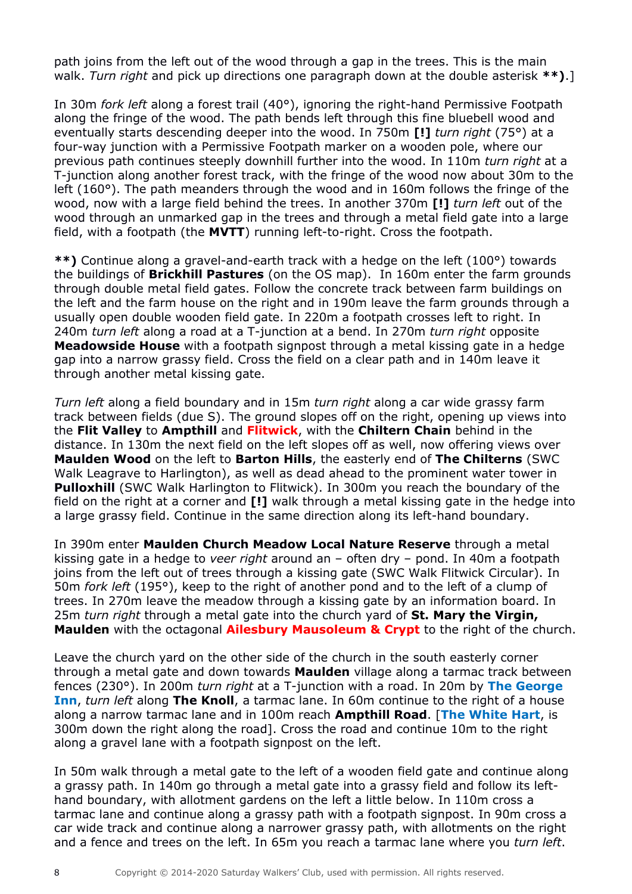path joins from the left out of the wood through a gap in the trees. This is the main walk. *Turn right* and pick up directions one paragraph down at the double asterisk **\*\*)**.]

In 30m *fork left* along a forest trail (40°), ignoring the right-hand Permissive Footpath along the fringe of the wood. The path bends left through this fine bluebell wood and eventually starts descending deeper into the wood. In 750m **[!]** *turn right* (75°) at a four-way junction with a Permissive Footpath marker on a wooden pole, where our previous path continues steeply downhill further into the wood. In 110m *turn right* at a T-junction along another forest track, with the fringe of the wood now about 30m to the left (160°). The path meanders through the wood and in 160m follows the fringe of the wood, now with a large field behind the trees. In another 370m **[!]** *turn left* out of the wood through an unmarked gap in the trees and through a metal field gate into a large field, with a footpath (the **MVTT**) running left-to-right. Cross the footpath.

**\*\*)** Continue along a gravel-and-earth track with a hedge on the left (100°) towards the buildings of **Brickhill Pastures** (on the OS map). In 160m enter the farm grounds through double metal field gates. Follow the concrete track between farm buildings on the left and the farm house on the right and in 190m leave the farm grounds through a usually open double wooden field gate. In 220m a footpath crosses left to right. In 240m *turn left* along a road at a T-junction at a bend. In 270m *turn right* opposite **Meadowside House** with a footpath signpost through a metal kissing gate in a hedge gap into a narrow grassy field. Cross the field on a clear path and in 140m leave it through another metal kissing gate.

*Turn left* along a field boundary and in 15m *turn right* along a car wide grassy farm track between fields (due S). The ground slopes off on the right, opening up views into the **Flit Valley** to **Ampthill** and **Flitwick**, with the **Chiltern Chain** behind in the distance. In 130m the next field on the left slopes off as well, now offering views over **Maulden Wood** on the left to **Barton Hills**, the easterly end of **The Chilterns** (SWC Walk Leagrave to Harlington), as well as dead ahead to the prominent water tower in **Pulloxhill** (SWC Walk Harlington to Flitwick). In 300m you reach the boundary of the field on the right at a corner and **[!]** walk through a metal kissing gate in the hedge into a large grassy field. Continue in the same direction along its left-hand boundary.

In 390m enter **Maulden Church Meadow Local Nature Reserve** through a metal kissing gate in a hedge to *veer right* around an – often dry – pond. In 40m a footpath joins from the left out of trees through a kissing gate (SWC Walk Flitwick Circular). In 50m *fork left* (195°), keep to the right of another pond and to the left of a clump of trees. In 270m leave the meadow through a kissing gate by an information board. In 25m *turn right* through a metal gate into the church yard of **St. Mary the Virgin, Maulden** with the octagonal **Ailesbury Mausoleum & Crypt** to the right of the church.

Leave the church yard on the other side of the church in the south easterly corner through a metal gate and down towards **Maulden** village along a tarmac track between fences (230°). In 200m *turn right* at a T-junction with a road. In 20m by **The George Inn**, *turn left* along **The Knoll**, a tarmac lane. In 60m continue to the right of a house along a narrow tarmac lane and in 100m reach **Ampthill Road**. [**The White Hart**, is 300m down the right along the road]. Cross the road and continue 10m to the right along a gravel lane with a footpath signpost on the left.

In 50m walk through a metal gate to the left of a wooden field gate and continue along a grassy path. In 140m go through a metal gate into a grassy field and follow its lefthand boundary, with allotment gardens on the left a little below. In 110m cross a tarmac lane and continue along a grassy path with a footpath signpost. In 90m cross a car wide track and continue along a narrower grassy path, with allotments on the right and a fence and trees on the left. In 65m you reach a tarmac lane where you *turn left*.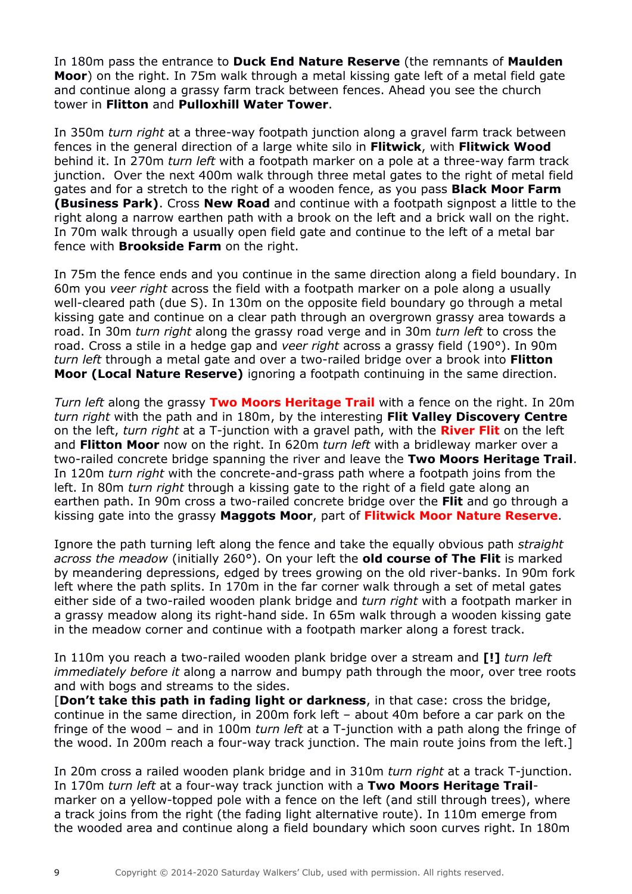In 180m pass the entrance to **Duck End Nature Reserve** (the remnants of **Maulden Moor**) on the right. In 75m walk through a metal kissing gate left of a metal field gate and continue along a grassy farm track between fences. Ahead you see the church tower in **Flitton** and **Pulloxhill Water Tower**.

In 350m *turn right* at a three-way footpath junction along a gravel farm track between fences in the general direction of a large white silo in **Flitwick**, with **Flitwick Wood** behind it. In 270m *turn left* with a footpath marker on a pole at a three-way farm track junction. Over the next 400m walk through three metal gates to the right of metal field gates and for a stretch to the right of a wooden fence, as you pass **Black Moor Farm (Business Park)**. Cross **New Road** and continue with a footpath signpost a little to the right along a narrow earthen path with a brook on the left and a brick wall on the right. In 70m walk through a usually open field gate and continue to the left of a metal bar fence with **Brookside Farm** on the right.

In 75m the fence ends and you continue in the same direction along a field boundary. In 60m you *veer right* across the field with a footpath marker on a pole along a usually well-cleared path (due S). In 130m on the opposite field boundary go through a metal kissing gate and continue on a clear path through an overgrown grassy area towards a road. In 30m *turn right* along the grassy road verge and in 30m *turn left* to cross the road. Cross a stile in a hedge gap and *veer right* across a grassy field (190°). In 90m *turn left* through a metal gate and over a two-railed bridge over a brook into **Flitton Moor (Local Nature Reserve)** ignoring a footpath continuing in the same direction.

*Turn left* along the grassy **Two Moors Heritage Trail** with a fence on the right. In 20m *turn right* with the path and in 180m, by the interesting **Flit Valley Discovery Centre** on the left, *turn right* at a T-junction with a gravel path, with the **River Flit** on the left and **Flitton Moor** now on the right. In 620m *turn left* with a bridleway marker over a two-railed concrete bridge spanning the river and leave the **Two Moors Heritage Trail**. In 120m *turn right* with the concrete-and-grass path where a footpath joins from the left. In 80m *turn right* through a kissing gate to the right of a field gate along an earthen path. In 90m cross a two-railed concrete bridge over the **Flit** and go through a kissing gate into the grassy **Maggots Moor**, part of **Flitwick Moor Nature Reserve**.

Ignore the path turning left along the fence and take the equally obvious path *straight across the meadow* (initially 260°). On your left the **old course of The Flit** is marked by meandering depressions, edged by trees growing on the old river-banks. In 90m fork left where the path splits. In 170m in the far corner walk through a set of metal gates either side of a two-railed wooden plank bridge and *turn right* with a footpath marker in a grassy meadow along its right-hand side. In 65m walk through a wooden kissing gate in the meadow corner and continue with a footpath marker along a forest track.

In 110m you reach a two-railed wooden plank bridge over a stream and **[!]** *turn left immediately before it* along a narrow and bumpy path through the moor, over tree roots and with bogs and streams to the sides.

[**Don't take this path in fading light or darkness**, in that case: cross the bridge, continue in the same direction, in 200m fork left – about 40m before a car park on the fringe of the wood – and in 100m *turn left* at a T-junction with a path along the fringe of the wood. In 200m reach a four-way track junction. The main route joins from the left.]

In 20m cross a railed wooden plank bridge and in 310m *turn right* at a track T-junction. In 170m *turn left* at a four-way track junction with a **Two Moors Heritage Trail**marker on a yellow-topped pole with a fence on the left (and still through trees), where a track joins from the right (the fading light alternative route). In 110m emerge from the wooded area and continue along a field boundary which soon curves right. In 180m